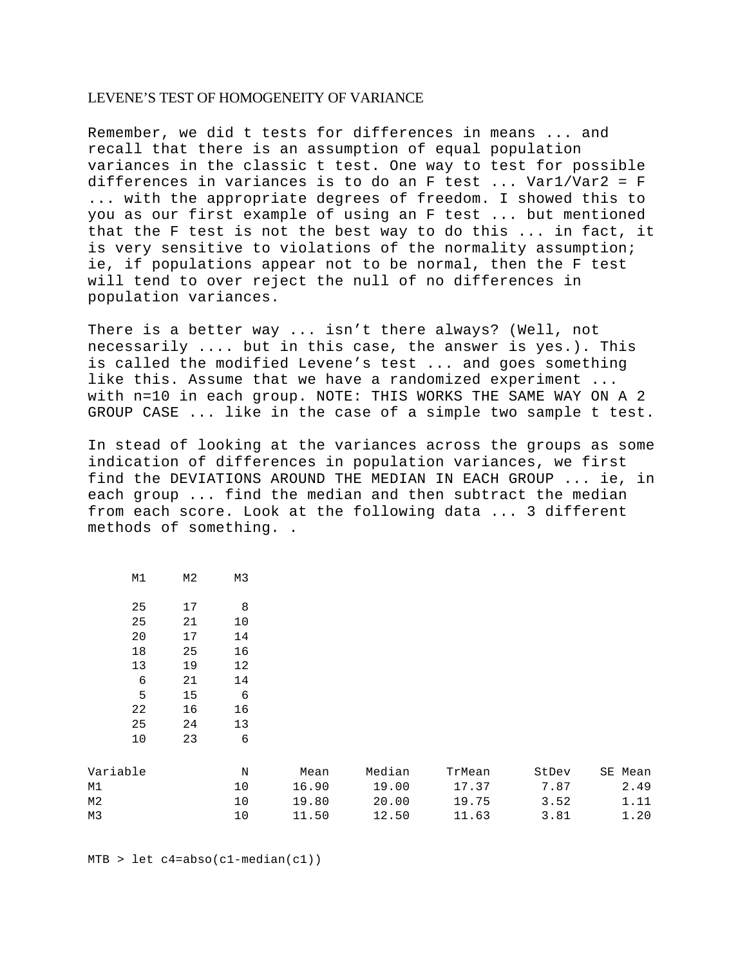## LEVENE'S TEST OF HOMOGENEITY OF VARIANCE

Remember, we did t tests for differences in means ... and recall that there is an assumption of equal population variances in the classic t test. One way to test for possible differences in variances is to do an F test ... Var1/Var2 = F ... with the appropriate degrees of freedom. I showed this to you as our first example of using an F test ... but mentioned that the F test is not the best way to do this ... in fact, it is very sensitive to violations of the normality assumption; ie, if populations appear not to be normal, then the F test will tend to over reject the null of no differences in population variances.

There is a better way ... isn't there always? (Well, not necessarily .... but in this case, the answer is yes.). This is called the modified Levene's test ... and goes something like this. Assume that we have a randomized experiment ... with n=10 in each group. NOTE: THIS WORKS THE SAME WAY ON A 2 GROUP CASE ... like in the case of a simple two sample t test.

In stead of looking at the variances across the groups as some indication of differences in population variances, we first find the DEVIATIONS AROUND THE MEDIAN IN EACH GROUP ... ie, in each group ... find the median and then subtract the median from each score. Look at the following data ... 3 different methods of something. .

| Μ1 | M <sub>2</sub> | MЗ |
|----|----------------|----|
| 25 | 17             | 8  |
| 25 | 21             | 10 |
| 20 | 17             | 14 |
| 18 | 25             | 16 |
| 13 | 19             | 12 |
| 6  | 21             | 14 |
| 5  | 15             | 6  |
| 22 | 16             | 16 |
| 25 | 24             | 13 |
| 10 | 23             | 6  |
|    |                |    |
|    |                |    |

| Variable | Ν   | Mean  | Median | TrMean | StDev | SE Mean |
|----------|-----|-------|--------|--------|-------|---------|
| M1       | 1 ∩ | 16.90 | 19.00  | 17.37  | 7.87  | 2.49    |
| M2       | 1 ∩ | 19.80 | 20.00  | 19.75  | 3.52  | 1.11    |
| M3       | 1 ∩ | 11.50 | 12.50  | 11.63  | 3.81  | 1.20    |

 $MTB > let c4 = abso(c1 - median(c1))$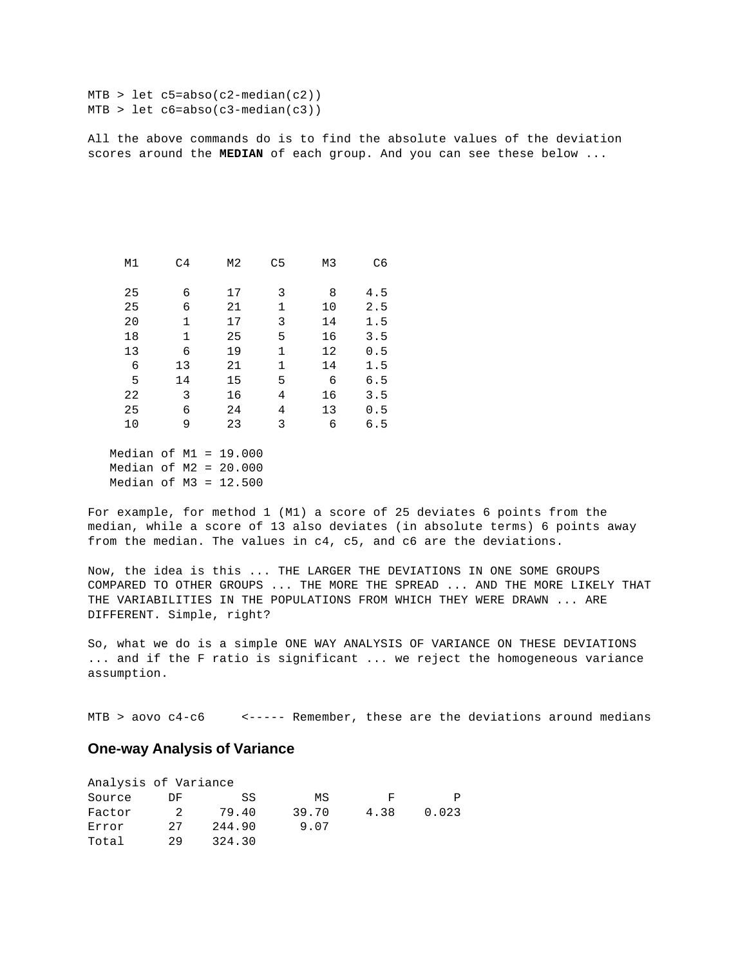```
MTB > let c5=abso(c2-median(c2))
MTB > let c6 = abso(c3 - median(c3))
```
All the above commands do is to find the absolute values of the deviation scores around the **MEDIAN** of each group. And you can see these below ...

| M1 | C <sub>4</sub> | M2 | C <sub>5</sub> | M3 | C <sub>6</sub> |
|----|----------------|----|----------------|----|----------------|
| 25 | 6              | 17 | 3              | 8  | 4.5            |
| 25 | 6              | 21 | 1              | 10 | 2.5            |
| 20 | $\mathbf{1}$   | 17 | 3              | 14 | 1.5            |
| 18 | 1              | 25 | 5              | 16 | 3.5            |
| 13 | 6              | 19 | 1              | 12 | 0.5            |
| 6  | 13             | 21 | 1              | 14 | 1.5            |
| 5  | 14             | 15 | 5              | 6  | 6.5            |
| 22 | 3              | 16 | 4              | 16 | 3.5            |
| 25 | 6              | 24 | 4              | 13 | 0.5            |
| 10 | 9              | 23 | 3              | 6  | 6.5            |
|    |                |    |                |    |                |

 Median of M1 = 19.000 Median of M2 = 20.000 Median of  $M3 = 12.500$ 

For example, for method 1 (M1) a score of 25 deviates 6 points from the median, while a score of 13 also deviates (in absolute terms) 6 points away from the median. The values in c4, c5, and c6 are the deviations.

Now, the idea is this ... THE LARGER THE DEVIATIONS IN ONE SOME GROUPS COMPARED TO OTHER GROUPS ... THE MORE THE SPREAD ... AND THE MORE LIKELY THAT THE VARIABILITIES IN THE POPULATIONS FROM WHICH THEY WERE DRAWN ... ARE DIFFERENT. Simple, right?

So, what we do is a simple ONE WAY ANALYSIS OF VARIANCE ON THESE DEVIATIONS ... and if the F ratio is significant ... we reject the homogeneous variance assumption.

MTB > aovo c4-c6 < ----- Remember, these are the deviations around medians

## **One-way Analysis of Variance**

| Analysis of Variance |     |        |       |      |       |
|----------------------|-----|--------|-------|------|-------|
| Source               | DF. | SS     | ΜS    | F    | P     |
| Factor               | 2   | 79.40  | 39.70 | 4.38 | 0.023 |
| Error                | 27  | 244.90 | 9.07  |      |       |
| Total                | 29  | 324.30 |       |      |       |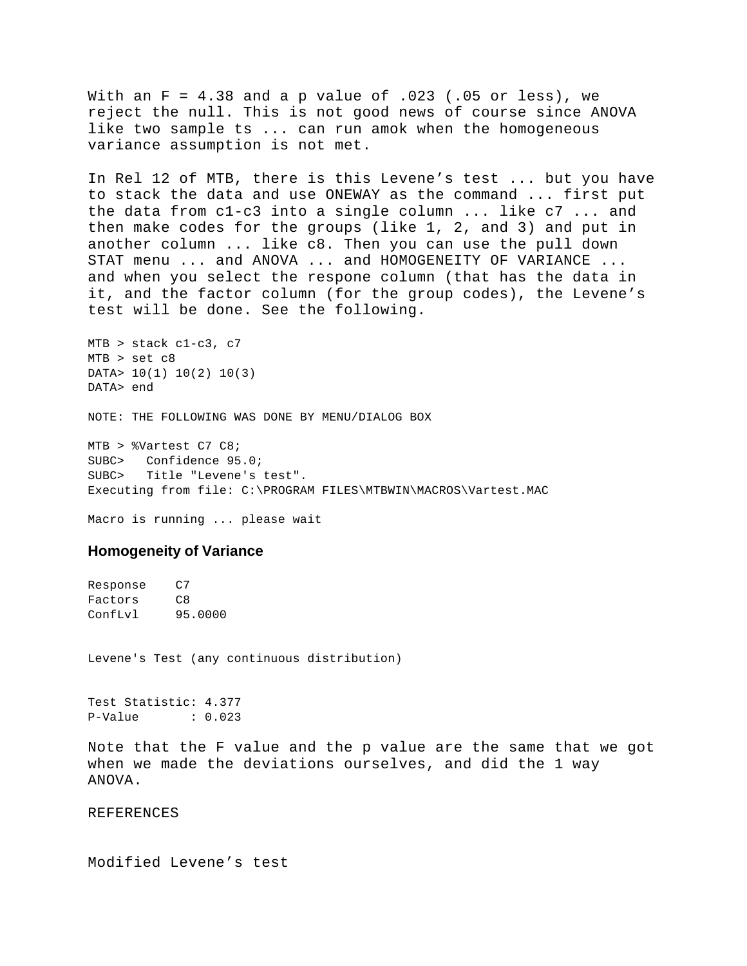With an  $F = 4.38$  and a p value of  $.023$  (.05 or less), we reject the null. This is not good news of course since ANOVA like two sample ts ... can run amok when the homogeneous variance assumption is not met.

In Rel 12 of MTB, there is this Levene's test ... but you have to stack the data and use ONEWAY as the command ... first put the data from c1-c3 into a single column ... like c7 ... and then make codes for the groups (like 1, 2, and 3) and put in another column ... like c8. Then you can use the pull down STAT menu ... and ANOVA ... and HOMOGENEITY OF VARIANCE ... and when you select the respone column (that has the data in it, and the factor column (for the group codes), the Levene's test will be done. See the following.

MTB > stack c1-c3, c7 MTB > set c8 DATA> 10(1) 10(2) 10(3) DATA> end

NOTE: THE FOLLOWING WAS DONE BY MENU/DIALOG BOX

MTB > %Vartest C7 C8; SUBC> Confidence 95.0; SUBC> Title "Levene's test". Executing from file: C:\PROGRAM FILES\MTBWIN\MACROS\Vartest.MAC

Macro is running ... please wait

## **Homogeneity of Variance**

Response C7 Factors C8 ConfLvl 95.0000

Levene's Test (any continuous distribution)

Test Statistic: 4.377 P-Value : 0.023

Note that the F value and the p value are the same that we got when we made the deviations ourselves, and did the 1 way ANOVA.

REFERENCES

Modified Levene's test